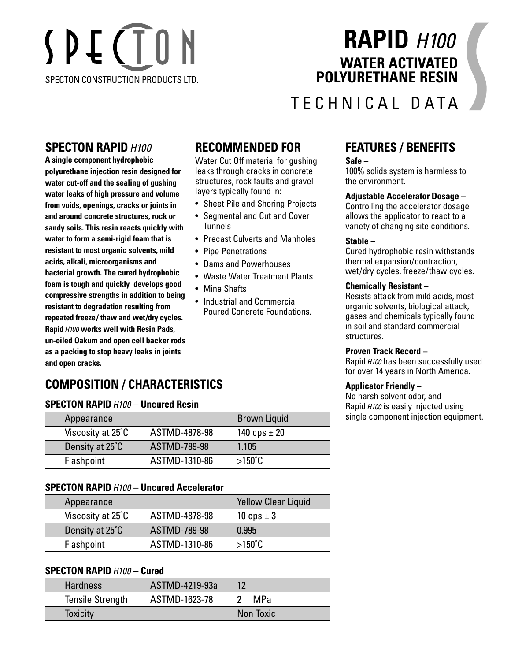# SPECTON SPECTON CONSTRUCTION PRODUCTS LTD.

# **RAPID** *H100* **WATER ACTIVATED POLYURETHANE RESIN**

## TECHNICAL DATA

#### **SPECTON RAPID***H100*

**A single component hydrophobic polyurethane injection resin designed for water cut-off and the sealing of gushing water leaks of high pressure and volume from voids, openings, cracks or joints in and around concrete structures, rock or sandy soils. This resin reacts quickly with water to form a semi-rigid foam that is resistant to most organic solvents, mild acids, alkali, microorganisms and bacterial growth. The cured hydrophobic foam is tough and quickly develops good compressive strengths in addition to being resistant to degradation resulting from repeated freeze/ thaw and wet/dry cycles. Rapid***H100* **works well with Resin Pads, un-oiled Oakum and open cell backer rods as a packing to stop heavy leaks in joints and open cracks.**

## **RECOMMENDED FOR**

Water Cut Off material for gushing leaks through cracks in concrete structures, rock faults and gravel layers typically found in:

- Sheet Pile and Shoring Projects
- Segmental and Cut and Cover Tunnels
- Precast Culverts and Manholes
- Pipe Penetrations
- Dams and Powerhouses
- Waste Water Treatment Plants
- Mine Shafts
- Industrial and Commercial Poured Concrete Foundations.

## **FEATURES / BENEFITS**

#### **Safe –**

100% solids system is harmless to the environment.

#### **Adjustable Accelerator Dosage –**

Controlling the accelerator dosage allows the applicator to react to a variety of changing site conditions.

#### **Stable –**

Cured hydrophobic resin withstands thermal expansion/contraction, wet/dry cycles, freeze/thaw cycles.

#### **Chemically Resistant –**

Resists attack from mild acids, most organic solvents, biological attack, gases and chemicals typically found in soil and standard commercial structures.

#### **Proven Track Record –**

Rapid *H100* has been successfully used for over 14 years in North America.

#### **Applicator Friendly –**

No harsh solvent odor, and Rapid *H100* is easily injected using single component injection equipment.

## **COMPOSITION / CHARACTERISTICS**

#### **SPECTON RAPID***H100* **– Uncured Resin**

| Appearance        |               | <b>Brown Liquid</b> |
|-------------------|---------------|---------------------|
| Viscosity at 25°C | ASTMD-4878-98 | 140 cps $\pm$ 20    |
| Density at 25°C   | ASTMD-789-98  | 1.105               |
| Flashpoint        | ASTMD-1310-86 | $>150^{\circ}$ C    |

#### **SPECTON RAPID***H100* **– Uncured Accelerator**

| Appearance        |                     | <b>Yellow Clear Liquid</b> |
|-------------------|---------------------|----------------------------|
| Viscosity at 25°C | ASTMD-4878-98       | 10 cps $\pm$ 3             |
| Density at 25°C   | <b>ASTMD-789-98</b> | 0.995                      |
| Flashpoint        | ASTMD-1310-86       | $>150^{\circ}$ C           |

#### **SPECTON RAPID***H100* **– Cured**

| <b>Hardness</b>         | ASTMD-4219-93a | 12        |
|-------------------------|----------------|-----------|
| <b>Tensile Strength</b> | ASTMD-1623-78  | MPa       |
| <b>Toxicity</b>         |                | Non Toxic |